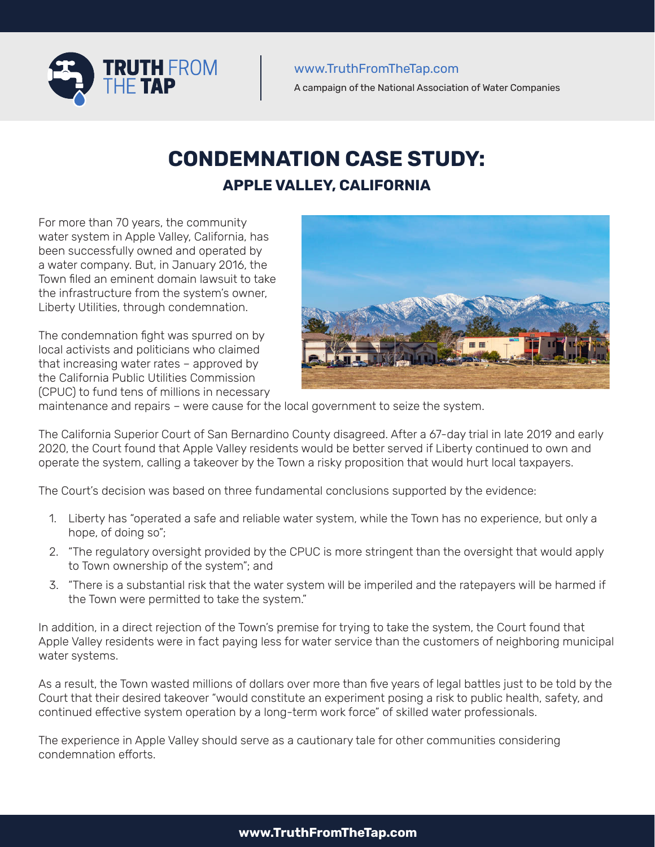

A campaign of the National Association of Water Companies

# **CONDEMNATION CASE STUDY: APPLE VALLEY, CALIFORNIA**

For more than 70 years, the community water system in Apple Valley, California, has been successfully owned and operated by a water company. But, in January 2016, the Town filed an eminent domain lawsuit to take the infrastructure from the system's owner, Liberty Utilities, through condemnation.

The condemnation fight was spurred on by local activists and politicians who claimed that increasing water rates – approved by the California Public Utilities Commission (CPUC) to fund tens of millions in necessary



maintenance and repairs – were cause for the local government to seize the system.

The California Superior Court of San Bernardino County disagreed. After a 67-day trial in late 2019 and early 2020, the Court found that Apple Valley residents would be better served if Liberty continued to own and operate the system, calling a takeover by the Town a risky proposition that would hurt local taxpayers.

The Court's decision was based on three fundamental conclusions supported by the evidence:

- 1. Liberty has "operated a safe and reliable water system, while the Town has no experience, but only a hope, of doing so";
- 2. "The regulatory oversight provided by the CPUC is more stringent than the oversight that would apply to Town ownership of the system"; and
- 3. "There is a substantial risk that the water system will be imperiled and the ratepayers will be harmed if the Town were permitted to take the system."

In addition, in a direct rejection of the Town's premise for trying to take the system, the Court found that Apple Valley residents were in fact paying less for water service than the customers of neighboring municipal water systems.

As a result, the Town wasted millions of dollars over more than five years of legal battles just to be told by the Court that their desired takeover "would constitute an experiment posing a risk to public health, safety, and continued effective system operation by a long-term work force" of skilled water professionals.

The experience in Apple Valley should serve as a cautionary tale for other communities considering condemnation efforts.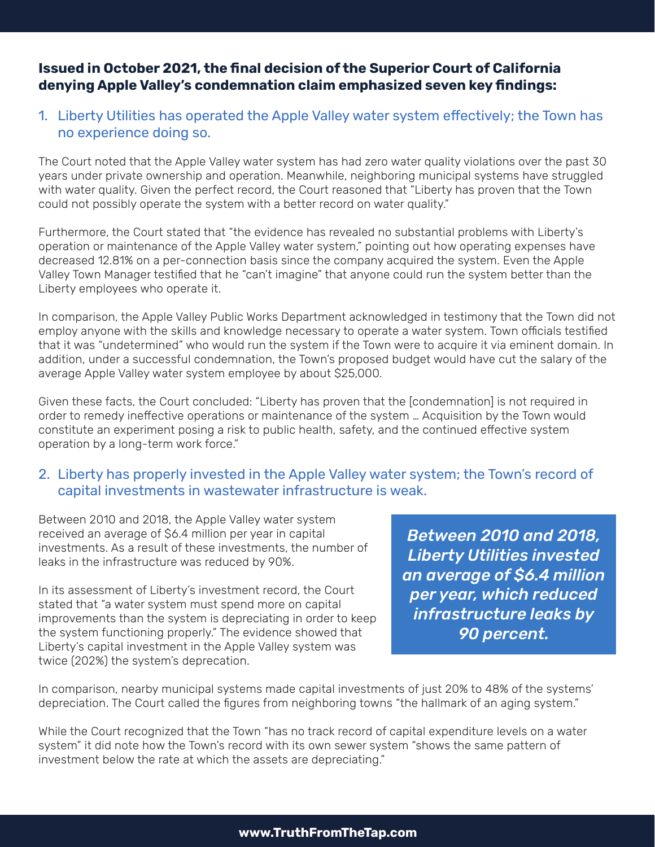# **Issued in October 2021, the final decision of the Superior Court of California denying Apple Valley's condemnation claim emphasized seven key findings:**

## 1. Liberty Utilities has operated the Apple Valley water system effectively; the Town has no experience doing so.

The Court noted that the Apple Valley water system has had zero water quality violations over the past 30 years under private ownership and operation. Meanwhile, neighboring municipal systems have struggled with water quality. Given the perfect record, the Court reasoned that "Liberty has proven that the Town could not possibly operate the system with a better record on water quality."

Furthermore, the Court stated that "the evidence has revealed no substantial problems with Liberty's operation or maintenance of the Apple Valley water system," pointing out how operating expenses have decreased 12.81% on a per-connection basis since the company acquired the system. Even the Apple Valley Town Manager testified that he "can't imagine" that anyone could run the system better than the Liberty employees who operate it.

In comparison, the Apple Valley Public Works Department acknowledged in testimony that the Town did not employ anyone with the skills and knowledge necessary to operate a water system. Town officials testified that it was "undetermined" who would run the system if the Town were to acquire it via eminent domain. In addition, under a successful condemnation, the Town's proposed budget would have cut the salary of the average Apple Valley water system employee by about \$25,000.

Given these facts, the Court concluded: "Liberty has proven that the [condemnation] is not required in order to remedy ineffective operations or maintenance of the system … Acquisition by the Town would constitute an experiment posing a risk to public health, safety, and the continued effective system operation by a long-term work force."

#### 2. Liberty has properly invested in the Apple Valley water system; the Town's record of capital investments in wastewater infrastructure is weak.

Between 2010 and 2018, the Apple Valley water system received an average of \$6.4 million per year in capital investments. As a result of these investments, the number of leaks in the infrastructure was reduced by 90%.

In its assessment of Liberty's investment record, the Court stated that "a water system must spend more on capital improvements than the system is depreciating in order to keep the system functioning properly." The evidence showed that Liberty's capital investment in the Apple Valley system was twice (202%) the system's deprecation.

*Between 2010 and 2018, Liberty Utilities invested an average of \$6.4 million per year, which reduced infrastructure leaks by 90 percent.*

In comparison, nearby municipal systems made capital investments of just 20% to 48% of the systems' depreciation. The Court called the figures from neighboring towns "the hallmark of an aging system."

While the Court recognized that the Town "has no track record of capital expenditure levels on a water system" it did note how the Town's record with its own sewer system "shows the same pattern of investment below the rate at which the assets are depreciating."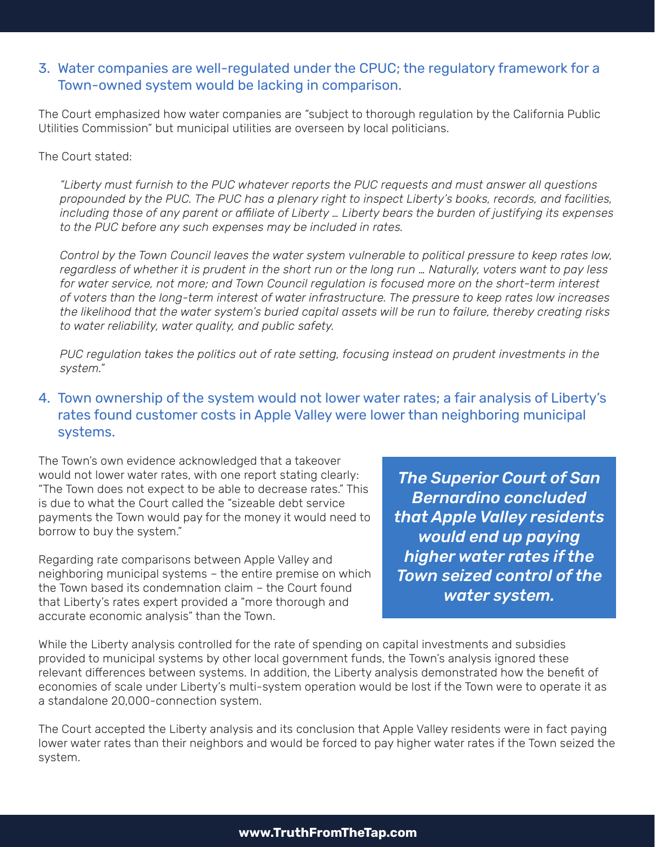### 3. Water companies are well-regulated under the CPUC; the regulatory framework for a Town-owned system would be lacking in comparison.

The Court emphasized how water companies are "subject to thorough regulation by the California Public Utilities Commission" but municipal utilities are overseen by local politicians.

The Court stated:

*"Liberty must furnish to the PUC whatever reports the PUC requests and must answer all questions propounded by the PUC. The PUC has a plenary right to inspect Liberty's books, records, and facilities, including those of any parent or affiliate of Liberty … Liberty bears the burden of justifying its expenses to the PUC before any such expenses may be included in rates.*

*Control by the Town Council leaves the water system vulnerable to political pressure to keep rates low, regardless of whether it is prudent in the short run or the long run … Naturally, voters want to pay less for water service, not more; and Town Council regulation is focused more on the short-term interest of voters than the long-term interest of water infrastructure. The pressure to keep rates low increases the likelihood that the water system's buried capital assets will be run to failure, thereby creating risks to water reliability, water quality, and public safety.* 

*PUC regulation takes the politics out of rate setting, focusing instead on prudent investments in the system."*

#### 4. Town ownership of the system would not lower water rates; a fair analysis of Liberty's rates found customer costs in Apple Valley were lower than neighboring municipal systems.

The Town's own evidence acknowledged that a takeover would not lower water rates, with one report stating clearly: "The Town does not expect to be able to decrease rates." This is due to what the Court called the "sizeable debt service payments the Town would pay for the money it would need to borrow to buy the system."

Regarding rate comparisons between Apple Valley and neighboring municipal systems – the entire premise on which the Town based its condemnation claim – the Court found that Liberty's rates expert provided a "more thorough and accurate economic analysis" than the Town.

*The Superior Court of San Bernardino concluded that Apple Valley residents would end up paying higher water rates if the Town seized control of the water system.*

While the Liberty analysis controlled for the rate of spending on capital investments and subsidies provided to municipal systems by other local government funds, the Town's analysis ignored these relevant differences between systems. In addition, the Liberty analysis demonstrated how the benefit of economies of scale under Liberty's multi-system operation would be lost if the Town were to operate it as a standalone 20,000-connection system.

The Court accepted the Liberty analysis and its conclusion that Apple Valley residents were in fact paying lower water rates than their neighbors and would be forced to pay higher water rates if the Town seized the system.